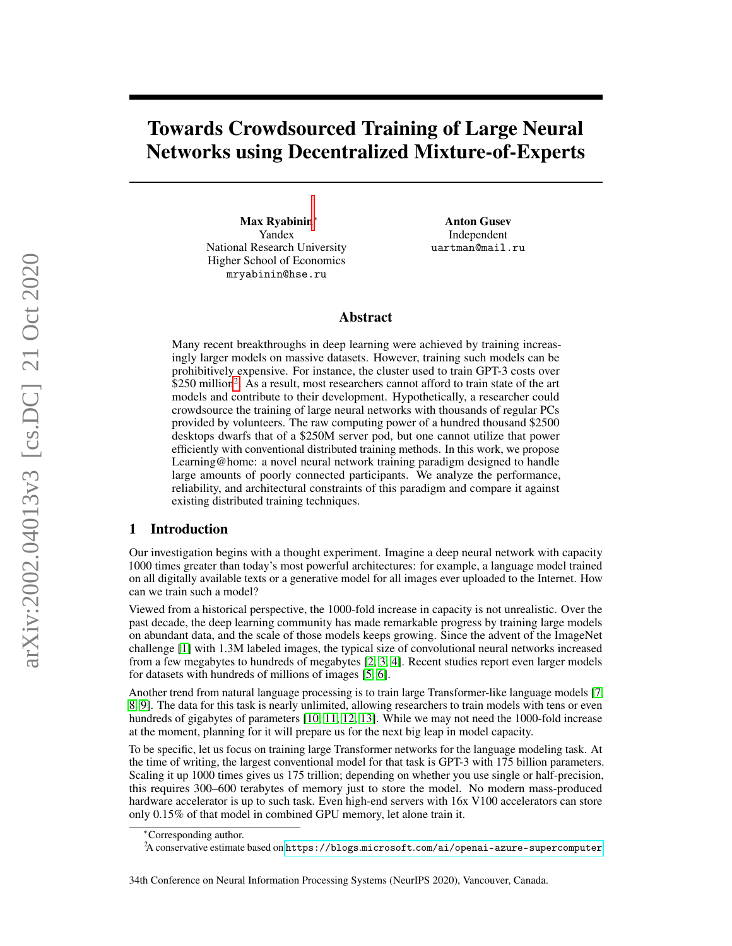# Towards Crowdsourced Training of Large Neural Networks using Decentralized Mixture-of-Experts

Max Ryabinin<sup>∗</sup> Yandex National Research University Higher School of Economics mryabinin@hse.ru

Anton Gusev Independent uartman@mail.ru

#### Abstract

Many recent breakthroughs in deep learning were achieved by training increasingly larger models on massive datasets. However, training such models can be prohibitively expensive. For instance, the cluster used to train GPT-3 costs over \$[2](#page-0-0)50 million<sup>2</sup>. As a result, most researchers cannot afford to train state of the art models and contribute to their development. Hypothetically, a researcher could crowdsource the training of large neural networks with thousands of regular PCs provided by volunteers. The raw computing power of a hundred thousand \$2500 desktops dwarfs that of a \$250M server pod, but one cannot utilize that power efficiently with conventional distributed training methods. In this work, we propose Learning@home: a novel neural network training paradigm designed to handle large amounts of poorly connected participants. We analyze the performance, reliability, and architectural constraints of this paradigm and compare it against existing distributed training techniques.

#### 1 Introduction

Our investigation begins with a thought experiment. Imagine a deep neural network with capacity 1000 times greater than today's most powerful architectures: for example, a language model trained on all digitally available texts or a generative model for all images ever uploaded to the Internet. How can we train such a model?

Viewed from a historical perspective, the 1000-fold increase in capacity is not unrealistic. Over the past decade, the deep learning community has made remarkable progress by training large models on abundant data, and the scale of those models keeps growing. Since the advent of the ImageNet challenge [\[1\]](#page-10-0) with 1.3M labeled images, the typical size of convolutional neural networks increased from a few megabytes to hundreds of megabytes [\[2,](#page-10-1) [3,](#page-10-2) [4\]](#page-10-3). Recent studies report even larger models for datasets with hundreds of millions of images [\[5,](#page-10-4) [6\]](#page-10-5).

Another trend from natural language processing is to train large Transformer-like language models [\[7,](#page-10-6) [8,](#page-10-7) [9\]](#page-10-8). The data for this task is nearly unlimited, allowing researchers to train models with tens or even hundreds of gigabytes of parameters [\[10,](#page-10-9) [11,](#page-10-10) [12,](#page-10-11) [13\]](#page-10-12). While we may not need the 1000-fold increase at the moment, planning for it will prepare us for the next big leap in model capacity.

To be specific, let us focus on training large Transformer networks for the language modeling task. At the time of writing, the largest conventional model for that task is GPT-3 with 175 billion parameters. Scaling it up 1000 times gives us 175 trillion; depending on whether you use single or half-precision, this requires 300–600 terabytes of memory just to store the model. No modern mass-produced hardware accelerator is up to such task. Even high-end servers with 16x V100 accelerators can store only 0.15% of that model in combined GPU memory, let alone train it.

<sup>∗</sup>Corresponding author.

<span id="page-0-0"></span><sup>2</sup>A conservative estimate based on https://blogs.microsoft.[com/ai/openai-azure-supercomputer](https://blogs.microsoft.com/ai/openai-azure-supercomputer)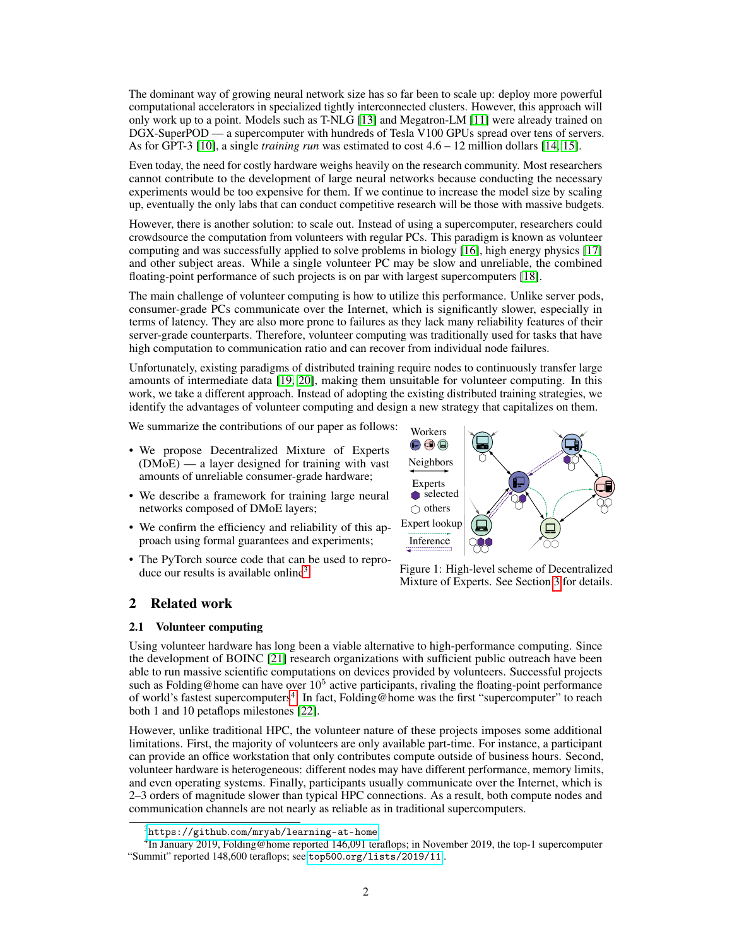The dominant way of growing neural network size has so far been to scale up: deploy more powerful computational accelerators in specialized tightly interconnected clusters. However, this approach will only work up to a point. Models such as T-NLG [\[13\]](#page-10-12) and Megatron-LM [\[11\]](#page-10-10) were already trained on DGX-SuperPOD — a supercomputer with hundreds of Tesla V100 GPUs spread over tens of servers. As for GPT-3 [\[10\]](#page-10-9), a single *training run* was estimated to cost 4.6 – 12 million dollars [\[14,](#page-10-13) [15\]](#page-10-14).

Even today, the need for costly hardware weighs heavily on the research community. Most researchers cannot contribute to the development of large neural networks because conducting the necessary experiments would be too expensive for them. If we continue to increase the model size by scaling up, eventually the only labs that can conduct competitive research will be those with massive budgets.

However, there is another solution: to scale out. Instead of using a supercomputer, researchers could crowdsource the computation from volunteers with regular PCs. This paradigm is known as volunteer computing and was successfully applied to solve problems in biology [\[16\]](#page-10-15), high energy physics [\[17\]](#page-10-16) and other subject areas. While a single volunteer PC may be slow and unreliable, the combined floating-point performance of such projects is on par with largest supercomputers [\[18\]](#page-10-17).

The main challenge of volunteer computing is how to utilize this performance. Unlike server pods, consumer-grade PCs communicate over the Internet, which is significantly slower, especially in terms of latency. They are also more prone to failures as they lack many reliability features of their server-grade counterparts. Therefore, volunteer computing was traditionally used for tasks that have high computation to communication ratio and can recover from individual node failures.

Unfortunately, existing paradigms of distributed training require nodes to continuously transfer large amounts of intermediate data [\[19,](#page-11-0) [20\]](#page-11-1), making them unsuitable for volunteer computing. In this work, we take a different approach. Instead of adopting the existing distributed training strategies, we identify the advantages of volunteer computing and design a new strategy that capitalizes on them.

We summarize the contributions of our paper as follows:

- We propose Decentralized Mixture of Experts (DMoE) — a layer designed for training with vast amounts of unreliable consumer-grade hardware;
- We describe a framework for training large neural networks composed of DMoE layers;
- We confirm the efficiency and reliability of this approach using formal guarantees and experiments;
- The PyTorch source code that can be used to repro-duce our results is available online<sup>[3](#page-1-0)</sup>.



<span id="page-1-3"></span>Figure 1: High-level scheme of Decentralized Mixture of Experts. See Section [3](#page-4-0) for details.

## 2 Related work

#### <span id="page-1-2"></span>2.1 Volunteer computing

Using volunteer hardware has long been a viable alternative to high-performance computing. Since the development of BOINC [\[21\]](#page-11-2) research organizations with sufficient public outreach have been able to run massive scientific computations on devices provided by volunteers. Successful projects such as Folding@home can have over  $10^5$  active participants, rivaling the floating-point performance of world's fastest supercomputers<sup>[4](#page-1-1)</sup>. In fact, Folding@home was the first "supercomputer" to reach both 1 and 10 petaflops milestones [\[22\]](#page-11-3).

However, unlike traditional HPC, the volunteer nature of these projects imposes some additional limitations. First, the majority of volunteers are only available part-time. For instance, a participant can provide an office workstation that only contributes compute outside of business hours. Second, volunteer hardware is heterogeneous: different nodes may have different performance, memory limits, and even operating systems. Finally, participants usually communicate over the Internet, which is 2–3 orders of magnitude slower than typical HPC connections. As a result, both compute nodes and communication channels are not nearly as reliable as in traditional supercomputers.

<span id="page-1-1"></span><span id="page-1-0"></span> $^3$ https://github.[com/mryab/learning-at-home](https://github.com/mryab/learning-at-home)

<sup>&</sup>lt;sup>4</sup>In January 2019, Folding@home reported 146,091 teraflops; in November 2019, the top-1 supercomputer "Summit" reported 148,600 teraflops; see top500.[org/lists/2019/11](top500.org/lists/2019/11) .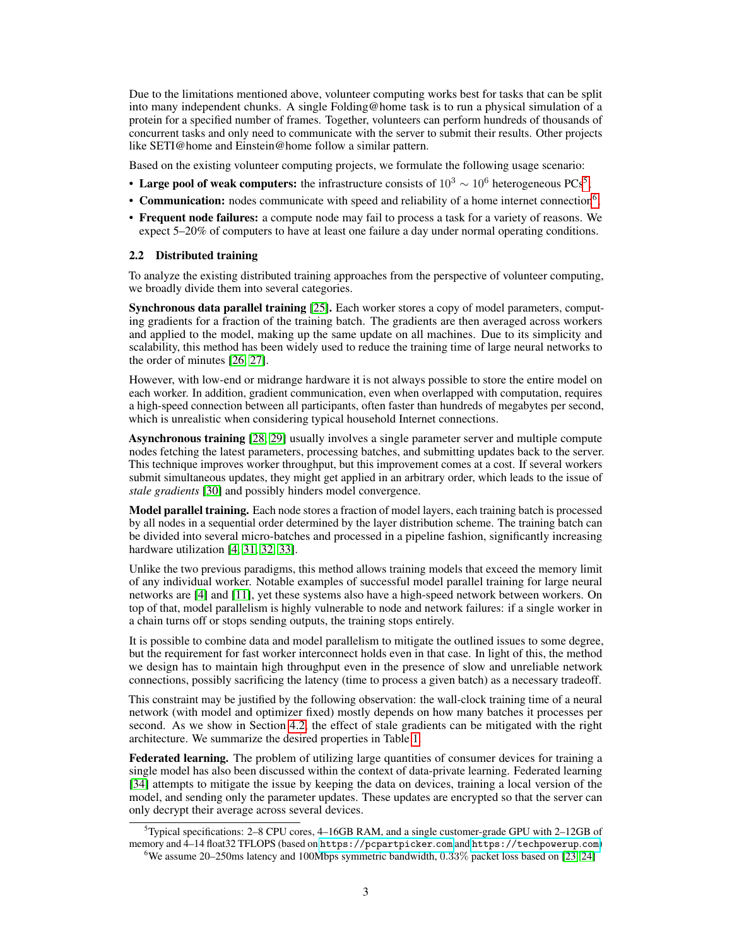Due to the limitations mentioned above, volunteer computing works best for tasks that can be split into many independent chunks. A single Folding@home task is to run a physical simulation of a protein for a specified number of frames. Together, volunteers can perform hundreds of thousands of concurrent tasks and only need to communicate with the server to submit their results. Other projects like SETI@home and Einstein@home follow a similar pattern.

Based on the existing volunteer computing projects, we formulate the following usage scenario:

- Large pool of weak computers: the infrastructure consists of  $10^3 \sim 10^6$  heterogeneous PCs<sup>[5](#page-2-0)</sup>;
- Communication: nodes communicate with speed and reliability of a home internet connection<sup>[6](#page-2-1)</sup>;
- Frequent node failures: a compute node may fail to process a task for a variety of reasons. We expect 5–20% of computers to have at least one failure a day under normal operating conditions.

#### 2.2 Distributed training

To analyze the existing distributed training approaches from the perspective of volunteer computing, we broadly divide them into several categories.

Synchronous data parallel training [\[25\]](#page-11-4). Each worker stores a copy of model parameters, computing gradients for a fraction of the training batch. The gradients are then averaged across workers and applied to the model, making up the same update on all machines. Due to its simplicity and scalability, this method has been widely used to reduce the training time of large neural networks to the order of minutes [\[26,](#page-11-5) [27\]](#page-11-6).

However, with low-end or midrange hardware it is not always possible to store the entire model on each worker. In addition, gradient communication, even when overlapped with computation, requires a high-speed connection between all participants, often faster than hundreds of megabytes per second, which is unrealistic when considering typical household Internet connections.

Asynchronous training [\[28,](#page-11-7) [29\]](#page-11-8) usually involves a single parameter server and multiple compute nodes fetching the latest parameters, processing batches, and submitting updates back to the server. This technique improves worker throughput, but this improvement comes at a cost. If several workers submit simultaneous updates, they might get applied in an arbitrary order, which leads to the issue of *stale gradients* [\[30\]](#page-11-9) and possibly hinders model convergence.

**Model parallel training.** Each node stores a fraction of model layers, each training batch is processed by all nodes in a sequential order determined by the layer distribution scheme. The training batch can be divided into several micro-batches and processed in a pipeline fashion, significantly increasing hardware utilization [\[4,](#page-10-3) [31,](#page-11-10) [32,](#page-11-11) [33\]](#page-11-12).

Unlike the two previous paradigms, this method allows training models that exceed the memory limit of any individual worker. Notable examples of successful model parallel training for large neural networks are [\[4\]](#page-10-3) and [\[11\]](#page-10-10), yet these systems also have a high-speed network between workers. On top of that, model parallelism is highly vulnerable to node and network failures: if a single worker in a chain turns off or stops sending outputs, the training stops entirely.

It is possible to combine data and model parallelism to mitigate the outlined issues to some degree, but the requirement for fast worker interconnect holds even in that case. In light of this, the method we design has to maintain high throughput even in the presence of slow and unreliable network connections, possibly sacrificing the latency (time to process a given batch) as a necessary tradeoff.

This constraint may be justified by the following observation: the wall-clock training time of a neural network (with model and optimizer fixed) mostly depends on how many batches it processes per second. As we show in Section [4.2,](#page-7-0) the effect of stale gradients can be mitigated with the right architecture. We summarize the desired properties in Table [1.](#page-3-0)

Federated learning. The problem of utilizing large quantities of consumer devices for training a single model has also been discussed within the context of data-private learning. Federated learning [\[34\]](#page-11-13) attempts to mitigate the issue by keeping the data on devices, training a local version of the model, and sending only the parameter updates. These updates are encrypted so that the server can only decrypt their average across several devices.

<span id="page-2-0"></span> $5$ Typical specifications: 2–8 CPU cores, 4–16GB RAM, and a single customer-grade GPU with 2–12GB of memory and 4–14 float32 TFLOPS (based on [https://pcpartpicker](https://pcpartpicker.com).com and [https://techpowerup](https://techpowerup.com).com)

<span id="page-2-1"></span> $6$ We assume 20–250ms latency and 100Mbps symmetric bandwidth,  $0.33\%$  packet loss based on [\[23,](#page-11-14) [24\]](#page-11-15)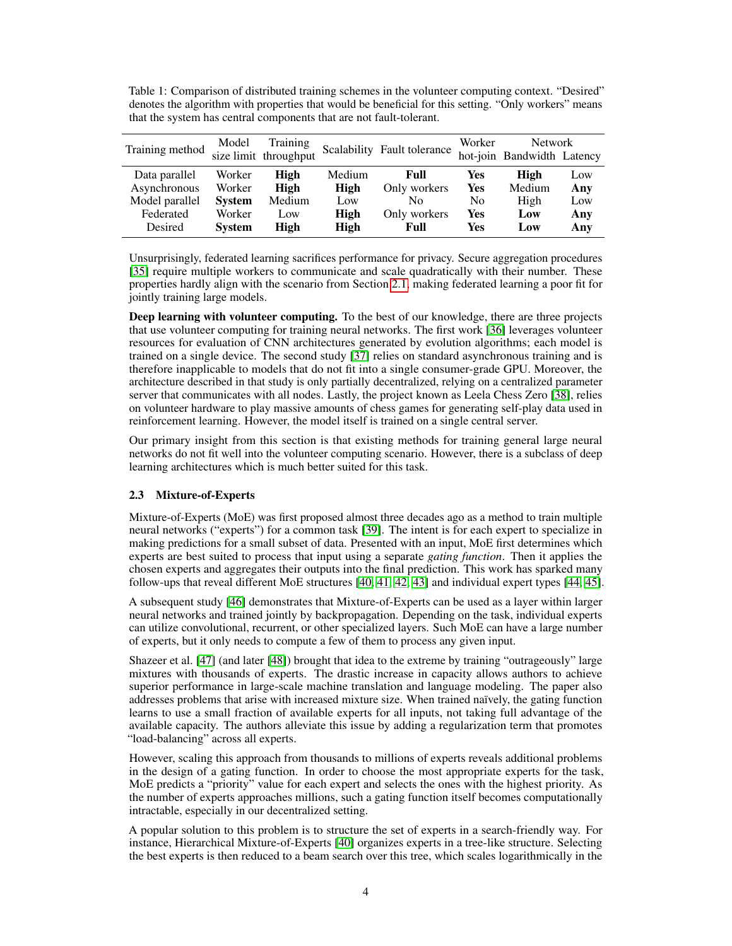<span id="page-3-0"></span>Table 1: Comparison of distributed training schemes in the volunteer computing context. "Desired" denotes the algorithm with properties that would be beneficial for this setting. "Only workers" means that the system has central components that are not fault-tolerant.

| Training method | Model         | <b>Training</b><br>size limit throughput | Scalability | Fault tolerance |                | <b>Network</b><br>hot-join Bandwidth Latency |     |
|-----------------|---------------|------------------------------------------|-------------|-----------------|----------------|----------------------------------------------|-----|
| Data parallel   | Worker        | <b>High</b>                              | Medium      | Full            | Yes            | High                                         | Low |
| Asynchronous    | Worker        | High                                     | High        | Only workers    | Yes            | Medium                                       | Any |
| Model parallel  | <b>System</b> | Medium                                   | Low         | No              | N <sub>0</sub> | High                                         | Low |
| Federated       | Worker        | Low                                      | High        | Only workers    | Yes            | Low                                          | Any |
| Desired         | <b>System</b> | High                                     | High        | Full            | Yes            | Low                                          | Any |

Unsurprisingly, federated learning sacrifices performance for privacy. Secure aggregation procedures [\[35\]](#page-11-16) require multiple workers to communicate and scale quadratically with their number. These properties hardly align with the scenario from Section [2.1,](#page-1-2) making federated learning a poor fit for jointly training large models.

Deep learning with volunteer computing. To the best of our knowledge, there are three projects that use volunteer computing for training neural networks. The first work [\[36\]](#page-11-17) leverages volunteer resources for evaluation of CNN architectures generated by evolution algorithms; each model is trained on a single device. The second study [\[37\]](#page-11-18) relies on standard asynchronous training and is therefore inapplicable to models that do not fit into a single consumer-grade GPU. Moreover, the architecture described in that study is only partially decentralized, relying on a centralized parameter server that communicates with all nodes. Lastly, the project known as Leela Chess Zero [\[38\]](#page-11-19), relies on volunteer hardware to play massive amounts of chess games for generating self-play data used in reinforcement learning. However, the model itself is trained on a single central server.

Our primary insight from this section is that existing methods for training general large neural networks do not fit well into the volunteer computing scenario. However, there is a subclass of deep learning architectures which is much better suited for this task.

## 2.3 Mixture-of-Experts

Mixture-of-Experts (MoE) was first proposed almost three decades ago as a method to train multiple neural networks ("experts") for a common task [\[39\]](#page-12-0). The intent is for each expert to specialize in making predictions for a small subset of data. Presented with an input, MoE first determines which experts are best suited to process that input using a separate *gating function*. Then it applies the chosen experts and aggregates their outputs into the final prediction. This work has sparked many follow-ups that reveal different MoE structures [\[40,](#page-12-1) [41,](#page-12-2) [42,](#page-12-3) [43\]](#page-12-4) and individual expert types [\[44,](#page-12-5) [45\]](#page-12-6).

A subsequent study [\[46\]](#page-12-7) demonstrates that Mixture-of-Experts can be used as a layer within larger neural networks and trained jointly by backpropagation. Depending on the task, individual experts can utilize convolutional, recurrent, or other specialized layers. Such MoE can have a large number of experts, but it only needs to compute a few of them to process any given input.

Shazeer et al. [\[47\]](#page-12-8) (and later [\[48\]](#page-12-9)) brought that idea to the extreme by training "outrageously" large mixtures with thousands of experts. The drastic increase in capacity allows authors to achieve superior performance in large-scale machine translation and language modeling. The paper also addresses problems that arise with increased mixture size. When trained naïvely, the gating function learns to use a small fraction of available experts for all inputs, not taking full advantage of the available capacity. The authors alleviate this issue by adding a regularization term that promotes "load-balancing" across all experts.

However, scaling this approach from thousands to millions of experts reveals additional problems in the design of a gating function. In order to choose the most appropriate experts for the task, MoE predicts a "priority" value for each expert and selects the ones with the highest priority. As the number of experts approaches millions, such a gating function itself becomes computationally intractable, especially in our decentralized setting.

A popular solution to this problem is to structure the set of experts in a search-friendly way. For instance, Hierarchical Mixture-of-Experts [\[40\]](#page-12-1) organizes experts in a tree-like structure. Selecting the best experts is then reduced to a beam search over this tree, which scales logarithmically in the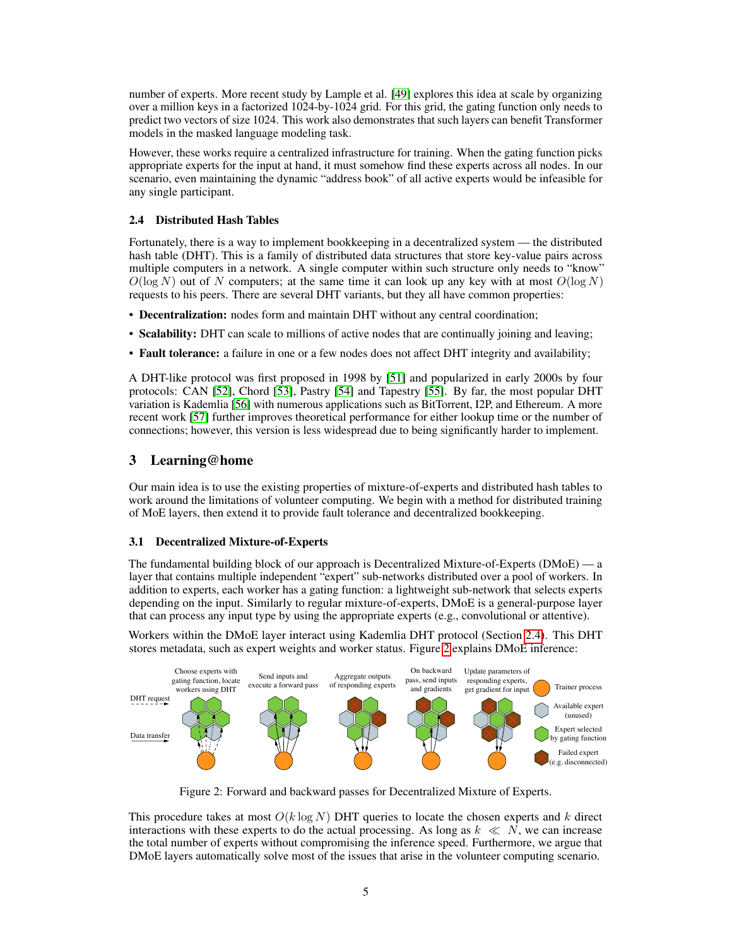number of experts. More recent study by Lample et al. [\[49\]](#page-12-10) explores this idea at scale by organizing over a million keys in a factorized 1024-by-1024 grid. For this grid, the gating function only needs to predict two vectors of size 1024. This work also demonstrates that such layers can benefit Transformer models in the masked language modeling task.

However, these works require a centralized infrastructure for training. When the gating function picks appropriate experts for the input at hand, it must somehow find these experts across all nodes. In our scenario, even maintaining the dynamic "address book" of all active experts would be infeasible for any single participant.

### <span id="page-4-1"></span>2.4 Distributed Hash Tables

Fortunately, there is a way to implement bookkeeping in a decentralized system — the distributed hash table (DHT). This is a family of distributed data structures that store key-value pairs across multiple computers in a network. A single computer within such structure only needs to "know"  $O(\log N)$  out of N computers; at the same time it can look up any key with at most  $O(\log N)$ requests to his peers. There are several DHT variants, but they all have common properties:

- Decentralization: nodes form and maintain DHT without any central coordination;
- Scalability: DHT can scale to millions of active nodes that are continually joining and leaving;
- Fault tolerance: a failure in one or a few nodes does not affect DHT integrity and availability;

A DHT-like protocol was first proposed in 1998 by [\[51\]](#page-12-11) and popularized in early 2000s by four protocols: CAN [\[52\]](#page-12-12), Chord [\[53\]](#page-12-13), Pastry [\[54\]](#page-12-14) and Tapestry [\[55\]](#page-12-15). By far, the most popular DHT variation is Kademlia [\[56\]](#page-12-16) with numerous applications such as BitTorrent, I2P, and Ethereum. A more recent work [\[57\]](#page-12-17) further improves theoretical performance for either lookup time or the number of connections; however, this version is less widespread due to being significantly harder to implement.

## <span id="page-4-0"></span>3 Learning@home

Our main idea is to use the existing properties of mixture-of-experts and distributed hash tables to work around the limitations of volunteer computing. We begin with a method for distributed training of MoE layers, then extend it to provide fault tolerance and decentralized bookkeeping.

## <span id="page-4-3"></span>3.1 Decentralized Mixture-of-Experts

The fundamental building block of our approach is Decentralized Mixture-of-Experts (DMoE) — a layer that contains multiple independent "expert" sub-networks distributed over a pool of workers. In addition to experts, each worker has a gating function: a lightweight sub-network that selects experts depending on the input. Similarly to regular mixture-of-experts, DMoE is a general-purpose layer that can process any input type by using the appropriate experts (e.g., convolutional or attentive).

Workers within the DMoE layer interact using Kademlia DHT protocol (Section [2.4\)](#page-4-1). This DHT stores metadata, such as expert weights and worker status. Figure [2](#page-4-2) explains DMoE inference:

<span id="page-4-2"></span>

Figure 2: Forward and backward passes for Decentralized Mixture of Experts.

This procedure takes at most  $O(k \log N)$  DHT queries to locate the chosen experts and k direct interactions with these experts to do the actual processing. As long as  $k \ll N$ , we can increase the total number of experts without compromising the inference speed. Furthermore, we argue that DMoE layers automatically solve most of the issues that arise in the volunteer computing scenario.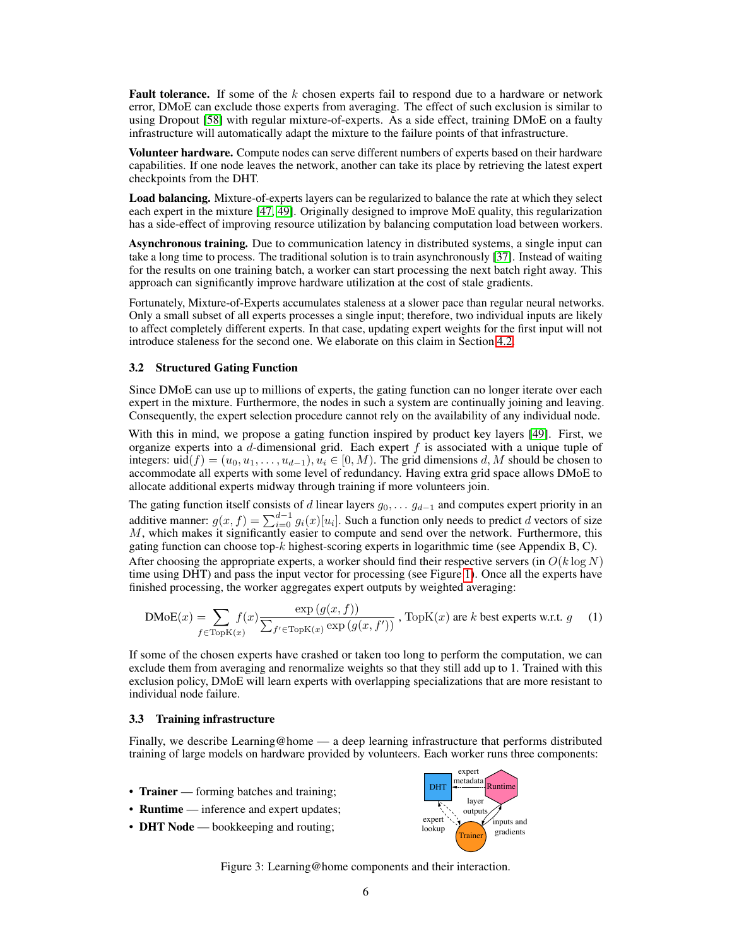**Fault tolerance.** If some of the  $k$  chosen experts fail to respond due to a hardware or network error, DMoE can exclude those experts from averaging. The effect of such exclusion is similar to using Dropout [\[58\]](#page-12-18) with regular mixture-of-experts. As a side effect, training DMoE on a faulty infrastructure will automatically adapt the mixture to the failure points of that infrastructure.

Volunteer hardware. Compute nodes can serve different numbers of experts based on their hardware capabilities. If one node leaves the network, another can take its place by retrieving the latest expert checkpoints from the DHT.

Load balancing. Mixture-of-experts layers can be regularized to balance the rate at which they select each expert in the mixture [\[47,](#page-12-8) [49\]](#page-12-10). Originally designed to improve MoE quality, this regularization has a side-effect of improving resource utilization by balancing computation load between workers.

Asynchronous training. Due to communication latency in distributed systems, a single input can take a long time to process. The traditional solution is to train asynchronously [\[37\]](#page-11-18). Instead of waiting for the results on one training batch, a worker can start processing the next batch right away. This approach can significantly improve hardware utilization at the cost of stale gradients.

Fortunately, Mixture-of-Experts accumulates staleness at a slower pace than regular neural networks. Only a small subset of all experts processes a single input; therefore, two individual inputs are likely to affect completely different experts. In that case, updating expert weights for the first input will not introduce staleness for the second one. We elaborate on this claim in Section [4.2.](#page-7-0)

#### <span id="page-5-0"></span>3.2 Structured Gating Function

Since DMoE can use up to millions of experts, the gating function can no longer iterate over each expert in the mixture. Furthermore, the nodes in such a system are continually joining and leaving. Consequently, the expert selection procedure cannot rely on the availability of any individual node.

With this in mind, we propose a gating function inspired by product key layers [\[49\]](#page-12-10). First, we organize experts into a  $d$ -dimensional grid. Each expert  $f$  is associated with a unique tuple of integers: uid(f) =  $(u_0, u_1, \ldots, u_{d-1}), u_i \in [0, M)$ . The grid dimensions d, M should be chosen to accommodate all experts with some level of redundancy. Having extra grid space allows DMoE to allocate additional experts midway through training if more volunteers join.

The gating function itself consists of d linear layers  $g_0, \ldots, g_{d-1}$  and computes expert priority in an additive manner:  $g(x, f) = \sum_{i=0}^{d-1} g_i(x)[u_i]$ . Such a function only needs to predict d vectors of size  $M$ , which makes it significantly easier to compute and send over the network. Furthermore, this gating function can choose top- $k$  highest-scoring experts in logarithmic time (see Appendix B, C). After choosing the appropriate experts, a worker should find their respective servers (in  $O(k \log N)$ ) time using DHT) and pass the input vector for processing (see Figure [1\)](#page-1-3). Once all the experts have finished processing, the worker aggregates expert outputs by weighted averaging:

$$
\text{DMoE}(x) = \sum_{f \in \text{TopK}(x)} f(x) \frac{\exp(g(x, f))}{\sum_{f' \in \text{TopK}(x)} \exp(g(x, f'))}, \text{TopK}(x) \text{ are } k \text{ best experts w.r.t. } g \quad (1)
$$

If some of the chosen experts have crashed or taken too long to perform the computation, we can exclude them from averaging and renormalize weights so that they still add up to 1. Trained with this exclusion policy, DMoE will learn experts with overlapping specializations that are more resistant to individual node failure.

#### 3.3 Training infrastructure

Finally, we describe Learning@home — a deep learning infrastructure that performs distributed training of large models on hardware provided by volunteers. Each worker runs three components:

- **Trainer** forming batches and training;
- **Runtime** inference and expert updates;
- **DHT Node** bookkeeping and routing;



Figure 3: Learning@home components and their interaction.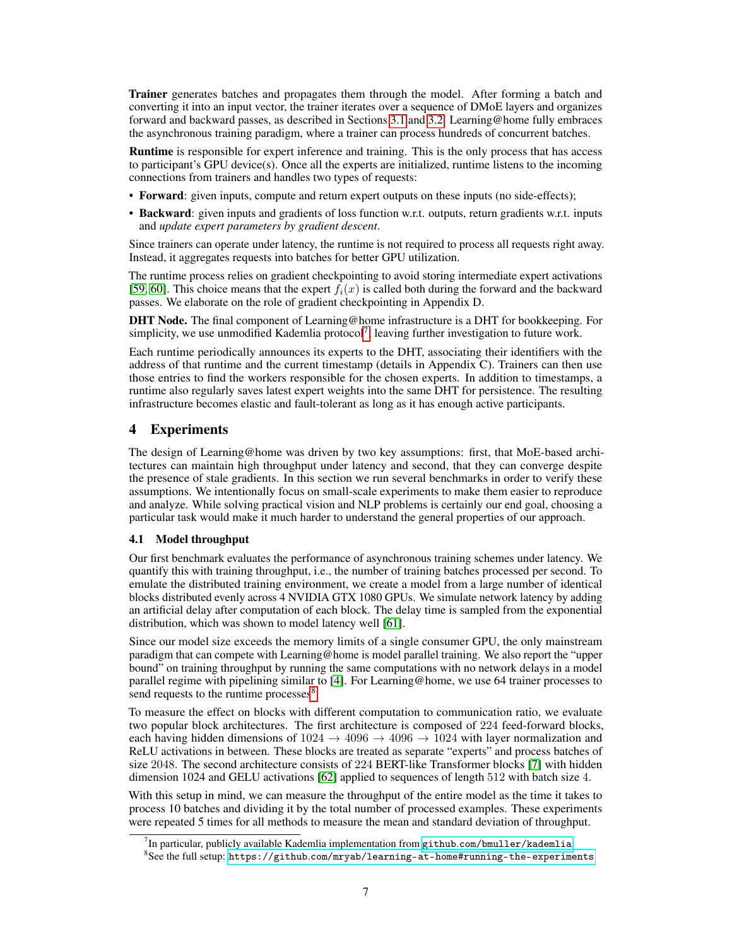Trainer generates batches and propagates them through the model. After forming a batch and converting it into an input vector, the trainer iterates over a sequence of DMoE layers and organizes forward and backward passes, as described in Sections [3.1](#page-4-3) and [3.2.](#page-5-0) Learning@home fully embraces the asynchronous training paradigm, where a trainer can process hundreds of concurrent batches.

Runtime is responsible for expert inference and training. This is the only process that has access to participant's GPU device(s). Once all the experts are initialized, runtime listens to the incoming connections from trainers and handles two types of requests:

- Forward: given inputs, compute and return expert outputs on these inputs (no side-effects);
- Backward: given inputs and gradients of loss function w.r.t. outputs, return gradients w.r.t. inputs and *update expert parameters by gradient descent*.

Since trainers can operate under latency, the runtime is not required to process all requests right away. Instead, it aggregates requests into batches for better GPU utilization.

The runtime process relies on gradient checkpointing to avoid storing intermediate expert activations [\[59,](#page-13-0) [60\]](#page-13-1). This choice means that the expert  $f_i(x)$  is called both during the forward and the backward passes. We elaborate on the role of gradient checkpointing in Appendix D.

DHT Node. The final component of Learning@home infrastructure is a DHT for bookkeeping. For simplicity, we use unmodified Kademlia protocol<sup>[7](#page-6-0)</sup>, leaving further investigation to future work.

Each runtime periodically announces its experts to the DHT, associating their identifiers with the address of that runtime and the current timestamp (details in Appendix C). Trainers can then use those entries to find the workers responsible for the chosen experts. In addition to timestamps, a runtime also regularly saves latest expert weights into the same DHT for persistence. The resulting infrastructure becomes elastic and fault-tolerant as long as it has enough active participants.

## 4 Experiments

The design of Learning@home was driven by two key assumptions: first, that MoE-based architectures can maintain high throughput under latency and second, that they can converge despite the presence of stale gradients. In this section we run several benchmarks in order to verify these assumptions. We intentionally focus on small-scale experiments to make them easier to reproduce and analyze. While solving practical vision and NLP problems is certainly our end goal, choosing a particular task would make it much harder to understand the general properties of our approach.

#### <span id="page-6-2"></span>4.1 Model throughput

Our first benchmark evaluates the performance of asynchronous training schemes under latency. We quantify this with training throughput, i.e., the number of training batches processed per second. To emulate the distributed training environment, we create a model from a large number of identical blocks distributed evenly across 4 NVIDIA GTX 1080 GPUs. We simulate network latency by adding an artificial delay after computation of each block. The delay time is sampled from the exponential distribution, which was shown to model latency well [\[61\]](#page-13-2).

Since our model size exceeds the memory limits of a single consumer GPU, the only mainstream paradigm that can compete with Learning@home is model parallel training. We also report the "upper bound" on training throughput by running the same computations with no network delays in a model parallel regime with pipelining similar to [\[4\]](#page-10-3). For Learning@home, we use 64 trainer processes to send requests to the runtime processes $8$ .

To measure the effect on blocks with different computation to communication ratio, we evaluate two popular block architectures. The first architecture is composed of 224 feed-forward blocks, each having hidden dimensions of  $1024 \rightarrow 4096 \rightarrow 4096 \rightarrow 1024$  with layer normalization and ReLU activations in between. These blocks are treated as separate "experts" and process batches of size 2048. The second architecture consists of 224 BERT-like Transformer blocks [\[7\]](#page-10-6) with hidden dimension 1024 and GELU activations [\[62\]](#page-13-3) applied to sequences of length 512 with batch size 4.

With this setup in mind, we can measure the throughput of the entire model as the time it takes to process 10 batches and dividing it by the total number of processed examples. These experiments were repeated 5 times for all methods to measure the mean and standard deviation of throughput.

<span id="page-6-0"></span> $^7$ In particular, publicly available Kademlia implementation from github.[com/bmuller/kademlia](github.com/bmuller/kademlia)

<span id="page-6-1"></span> $^8$ See the full setup: https://github.[com/mryab/learning-at-home#running-the-experiments](https://github.com/mryab/learning-at-home#running-the-experiments)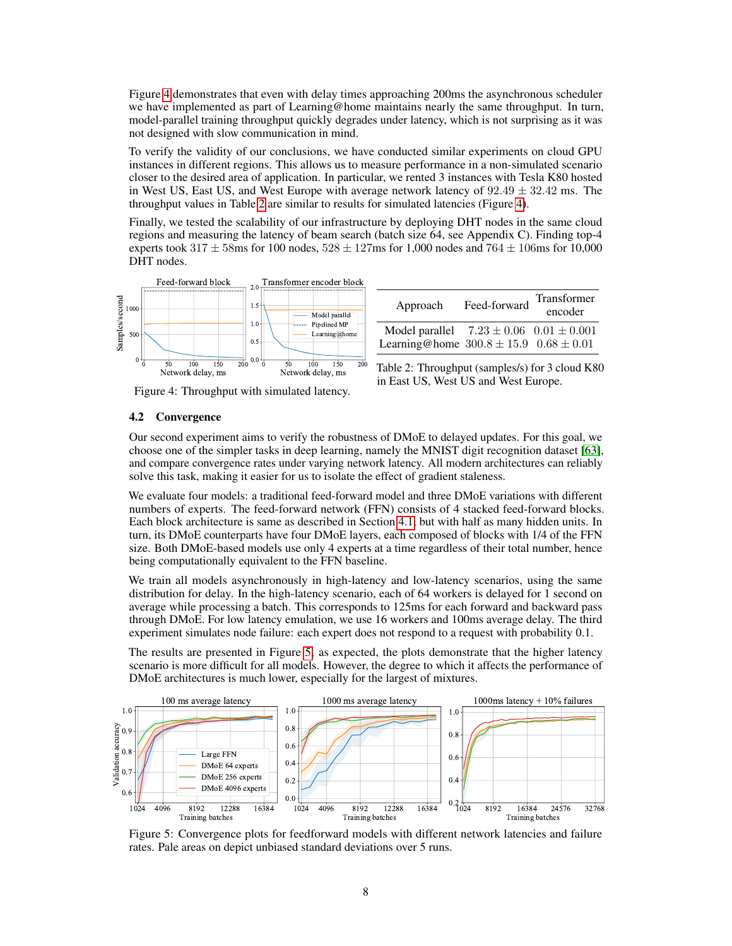Figure [4](#page-7-1) demonstrates that even with delay times approaching 200ms the asynchronous scheduler we have implemented as part of Learning@home maintains nearly the same throughput. In turn, model-parallel training throughput quickly degrades under latency, which is not surprising as it was not designed with slow communication in mind.

To verify the validity of our conclusions, we have conducted similar experiments on cloud GPU instances in different regions. This allows us to measure performance in a non-simulated scenario closer to the desired area of application. In particular, we rented 3 instances with Tesla K80 hosted in West US, East US, and West Europe with average network latency of  $92.49 \pm 32.42$  ms. The throughput values in Table [2](#page-7-1) are similar to results for simulated latencies (Figure [4\)](#page-7-1).

Finally, we tested the scalability of our infrastructure by deploying DHT nodes in the same cloud regions and measuring the latency of beam search (batch size 64, see Appendix C). Finding top-4 experts took  $317 \pm 58$ ms for 100 nodes,  $528 \pm 127$ ms for 1,000 nodes and  $764 \pm 106$ ms for 10,000 DHT nodes.

<span id="page-7-1"></span>

| Approach                                        | Feed-forward | Transformer<br>encoder |
|-------------------------------------------------|--------------|------------------------|
| Model parallel $7.23 \pm 0.06$ $0.01 \pm 0.001$ |              |                        |
| Learning@home $300.8 \pm 15.9$ $0.68 \pm 0.01$  |              |                        |

Table 2: Throughput (samples/s) for 3 cloud K80

in East US, West US and West Europe.

Figure 4: Throughput with simulated latency.

## <span id="page-7-0"></span>4.2 Convergence

Our second experiment aims to verify the robustness of DMoE to delayed updates. For this goal, we choose one of the simpler tasks in deep learning, namely the MNIST digit recognition dataset [\[63\]](#page-13-4), and compare convergence rates under varying network latency. All modern architectures can reliably solve this task, making it easier for us to isolate the effect of gradient staleness.

We evaluate four models: a traditional feed-forward model and three DMoE variations with different numbers of experts. The feed-forward network (FFN) consists of 4 stacked feed-forward blocks. Each block architecture is same as described in Section [4.1,](#page-6-2) but with half as many hidden units. In turn, its DMoE counterparts have four DMoE layers, each composed of blocks with 1/4 of the FFN size. Both DMoE-based models use only 4 experts at a time regardless of their total number, hence being computationally equivalent to the FFN baseline.

We train all models asynchronously in high-latency and low-latency scenarios, using the same distribution for delay. In the high-latency scenario, each of 64 workers is delayed for 1 second on average while processing a batch. This corresponds to 125ms for each forward and backward pass through DMoE. For low latency emulation, we use 16 workers and 100ms average delay. The third experiment simulates node failure: each expert does not respond to a request with probability 0.1.

The results are presented in Figure [5;](#page-7-2) as expected, the plots demonstrate that the higher latency scenario is more difficult for all models. However, the degree to which it affects the performance of DMoE architectures is much lower, especially for the largest of mixtures.

<span id="page-7-2"></span>

Figure 5: Convergence plots for feedforward models with different network latencies and failure rates. Pale areas on depict unbiased standard deviations over 5 runs.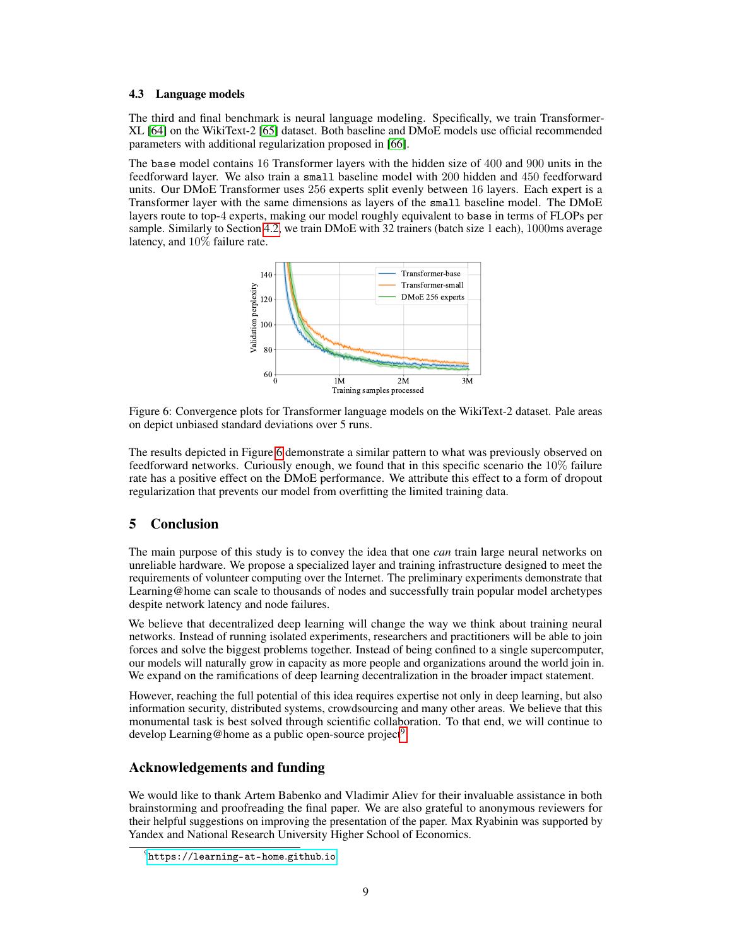#### 4.3 Language models

The third and final benchmark is neural language modeling. Specifically, we train Transformer-XL [\[64\]](#page-13-5) on the WikiText-2 [\[65\]](#page-13-6) dataset. Both baseline and DMoE models use official recommended parameters with additional regularization proposed in [\[66\]](#page-13-7).

<span id="page-8-0"></span>The base model contains 16 Transformer layers with the hidden size of 400 and 900 units in the feedforward layer. We also train a small baseline model with 200 hidden and 450 feedforward units. Our DMoE Transformer uses 256 experts split evenly between 16 layers. Each expert is a Transformer layer with the same dimensions as layers of the small baseline model. The DMoE layers route to top-4 experts, making our model roughly equivalent to base in terms of FLOPs per sample. Similarly to Section [4.2,](#page-7-0) we train DMoE with 32 trainers (batch size 1 each), 1000ms average latency, and 10% failure rate.



Figure 6: Convergence plots for Transformer language models on the WikiText-2 dataset. Pale areas on depict unbiased standard deviations over 5 runs.

The results depicted in Figure [6](#page-8-0) demonstrate a similar pattern to what was previously observed on feedforward networks. Curiously enough, we found that in this specific scenario the 10% failure rate has a positive effect on the DMoE performance. We attribute this effect to a form of dropout regularization that prevents our model from overfitting the limited training data.

## 5 Conclusion

The main purpose of this study is to convey the idea that one *can* train large neural networks on unreliable hardware. We propose a specialized layer and training infrastructure designed to meet the requirements of volunteer computing over the Internet. The preliminary experiments demonstrate that Learning@home can scale to thousands of nodes and successfully train popular model archetypes despite network latency and node failures.

We believe that decentralized deep learning will change the way we think about training neural networks. Instead of running isolated experiments, researchers and practitioners will be able to join forces and solve the biggest problems together. Instead of being confined to a single supercomputer, our models will naturally grow in capacity as more people and organizations around the world join in. We expand on the ramifications of deep learning decentralization in the broader impact statement.

However, reaching the full potential of this idea requires expertise not only in deep learning, but also information security, distributed systems, crowdsourcing and many other areas. We believe that this monumental task is best solved through scientific collaboration. To that end, we will continue to develop Learning@home as a public open-source project<sup>[9](#page-8-1)</sup>.

## Acknowledgements and funding

We would like to thank Artem Babenko and Vladimir Aliev for their invaluable assistance in both brainstorming and proofreading the final paper. We are also grateful to anonymous reviewers for their helpful suggestions on improving the presentation of the paper. Max Ryabinin was supported by Yandex and National Research University Higher School of Economics.

<span id="page-8-1"></span> $^{9}$ [https://learning-at-home](https://learning-at-home.github.io).github.io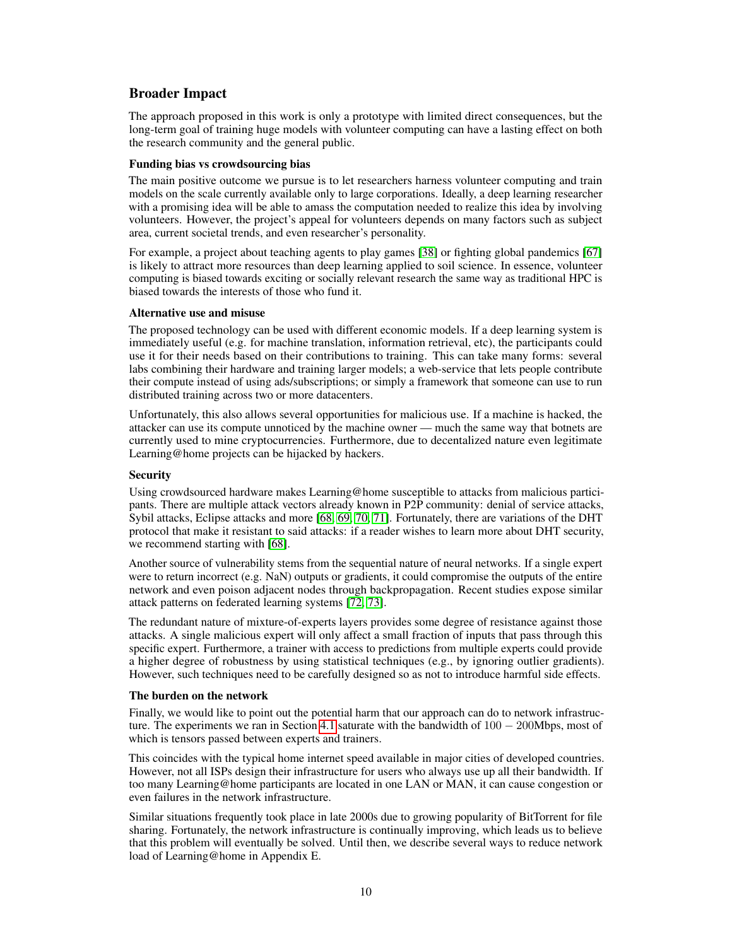## Broader Impact

The approach proposed in this work is only a prototype with limited direct consequences, but the long-term goal of training huge models with volunteer computing can have a lasting effect on both the research community and the general public.

#### Funding bias vs crowdsourcing bias

The main positive outcome we pursue is to let researchers harness volunteer computing and train models on the scale currently available only to large corporations. Ideally, a deep learning researcher with a promising idea will be able to amass the computation needed to realize this idea by involving volunteers. However, the project's appeal for volunteers depends on many factors such as subject area, current societal trends, and even researcher's personality.

For example, a project about teaching agents to play games [\[38\]](#page-11-19) or fighting global pandemics [\[67\]](#page-13-8) is likely to attract more resources than deep learning applied to soil science. In essence, volunteer computing is biased towards exciting or socially relevant research the same way as traditional HPC is biased towards the interests of those who fund it.

#### Alternative use and misuse

The proposed technology can be used with different economic models. If a deep learning system is immediately useful (e.g. for machine translation, information retrieval, etc), the participants could use it for their needs based on their contributions to training. This can take many forms: several labs combining their hardware and training larger models; a web-service that lets people contribute their compute instead of using ads/subscriptions; or simply a framework that someone can use to run distributed training across two or more datacenters.

Unfortunately, this also allows several opportunities for malicious use. If a machine is hacked, the attacker can use its compute unnoticed by the machine owner — much the same way that botnets are currently used to mine cryptocurrencies. Furthermore, due to decentalized nature even legitimate Learning@home projects can be hijacked by hackers.

#### **Security**

Using crowdsourced hardware makes Learning@home susceptible to attacks from malicious participants. There are multiple attack vectors already known in P2P community: denial of service attacks, Sybil attacks, Eclipse attacks and more [\[68,](#page-13-9) [69,](#page-13-10) [70,](#page-13-11) [71\]](#page-13-12). Fortunately, there are variations of the DHT protocol that make it resistant to said attacks: if a reader wishes to learn more about DHT security, we recommend starting with [\[68\]](#page-13-9).

Another source of vulnerability stems from the sequential nature of neural networks. If a single expert were to return incorrect (e.g. NaN) outputs or gradients, it could compromise the outputs of the entire network and even poison adjacent nodes through backpropagation. Recent studies expose similar attack patterns on federated learning systems [\[72,](#page-13-13) [73\]](#page-13-14).

The redundant nature of mixture-of-experts layers provides some degree of resistance against those attacks. A single malicious expert will only affect a small fraction of inputs that pass through this specific expert. Furthermore, a trainer with access to predictions from multiple experts could provide a higher degree of robustness by using statistical techniques (e.g., by ignoring outlier gradients). However, such techniques need to be carefully designed so as not to introduce harmful side effects.

#### The burden on the network

Finally, we would like to point out the potential harm that our approach can do to network infrastruc-ture. The experiments we ran in Section [4.1](#page-6-2) saturate with the bandwidth of  $100 - 200$ Mbps, most of which is tensors passed between experts and trainers.

This coincides with the typical home internet speed available in major cities of developed countries. However, not all ISPs design their infrastructure for users who always use up all their bandwidth. If too many Learning@home participants are located in one LAN or MAN, it can cause congestion or even failures in the network infrastructure.

Similar situations frequently took place in late 2000s due to growing popularity of BitTorrent for file sharing. Fortunately, the network infrastructure is continually improving, which leads us to believe that this problem will eventually be solved. Until then, we describe several ways to reduce network load of Learning@home in Appendix E.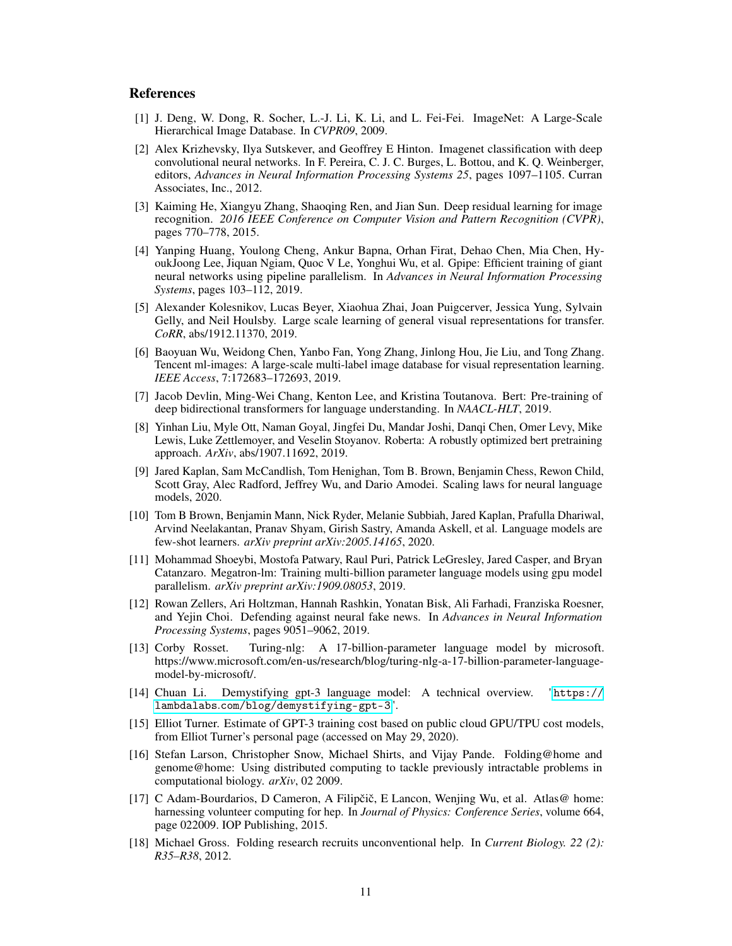#### References

- <span id="page-10-0"></span>[1] J. Deng, W. Dong, R. Socher, L.-J. Li, K. Li, and L. Fei-Fei. ImageNet: A Large-Scale Hierarchical Image Database. In *CVPR09*, 2009.
- <span id="page-10-1"></span>[2] Alex Krizhevsky, Ilya Sutskever, and Geoffrey E Hinton. Imagenet classification with deep convolutional neural networks. In F. Pereira, C. J. C. Burges, L. Bottou, and K. Q. Weinberger, editors, *Advances in Neural Information Processing Systems 25*, pages 1097–1105. Curran Associates, Inc., 2012.
- <span id="page-10-2"></span>[3] Kaiming He, Xiangyu Zhang, Shaoqing Ren, and Jian Sun. Deep residual learning for image recognition. *2016 IEEE Conference on Computer Vision and Pattern Recognition (CVPR)*, pages 770–778, 2015.
- <span id="page-10-3"></span>[4] Yanping Huang, Youlong Cheng, Ankur Bapna, Orhan Firat, Dehao Chen, Mia Chen, HyoukJoong Lee, Jiquan Ngiam, Quoc V Le, Yonghui Wu, et al. Gpipe: Efficient training of giant neural networks using pipeline parallelism. In *Advances in Neural Information Processing Systems*, pages 103–112, 2019.
- <span id="page-10-4"></span>[5] Alexander Kolesnikov, Lucas Beyer, Xiaohua Zhai, Joan Puigcerver, Jessica Yung, Sylvain Gelly, and Neil Houlsby. Large scale learning of general visual representations for transfer. *CoRR*, abs/1912.11370, 2019.
- <span id="page-10-5"></span>[6] Baoyuan Wu, Weidong Chen, Yanbo Fan, Yong Zhang, Jinlong Hou, Jie Liu, and Tong Zhang. Tencent ml-images: A large-scale multi-label image database for visual representation learning. *IEEE Access*, 7:172683–172693, 2019.
- <span id="page-10-6"></span>[7] Jacob Devlin, Ming-Wei Chang, Kenton Lee, and Kristina Toutanova. Bert: Pre-training of deep bidirectional transformers for language understanding. In *NAACL-HLT*, 2019.
- <span id="page-10-7"></span>[8] Yinhan Liu, Myle Ott, Naman Goyal, Jingfei Du, Mandar Joshi, Danqi Chen, Omer Levy, Mike Lewis, Luke Zettlemoyer, and Veselin Stoyanov. Roberta: A robustly optimized bert pretraining approach. *ArXiv*, abs/1907.11692, 2019.
- <span id="page-10-8"></span>[9] Jared Kaplan, Sam McCandlish, Tom Henighan, Tom B. Brown, Benjamin Chess, Rewon Child, Scott Gray, Alec Radford, Jeffrey Wu, and Dario Amodei. Scaling laws for neural language models, 2020.
- <span id="page-10-9"></span>[10] Tom B Brown, Benjamin Mann, Nick Ryder, Melanie Subbiah, Jared Kaplan, Prafulla Dhariwal, Arvind Neelakantan, Pranav Shyam, Girish Sastry, Amanda Askell, et al. Language models are few-shot learners. *arXiv preprint arXiv:2005.14165*, 2020.
- <span id="page-10-10"></span>[11] Mohammad Shoeybi, Mostofa Patwary, Raul Puri, Patrick LeGresley, Jared Casper, and Bryan Catanzaro. Megatron-lm: Training multi-billion parameter language models using gpu model parallelism. *arXiv preprint arXiv:1909.08053*, 2019.
- <span id="page-10-11"></span>[12] Rowan Zellers, Ari Holtzman, Hannah Rashkin, Yonatan Bisk, Ali Farhadi, Franziska Roesner, and Yejin Choi. Defending against neural fake news. In *Advances in Neural Information Processing Systems*, pages 9051–9062, 2019.
- <span id="page-10-12"></span>[13] Corby Rosset. Turing-nlg: A 17-billion-parameter language model by microsoft. https://www.microsoft.com/en-us/research/blog/turing-nlg-a-17-billion-parameter-languagemodel-by-microsoft/.
- <span id="page-10-13"></span>[14] Chuan Li. Demystifying gpt-3 language model: A technical overview. "[https://](https://lambdalabs.com/blog/demystifying-gpt-3) lambdalabs.[com/blog/demystifying-gpt-3](https://lambdalabs.com/blog/demystifying-gpt-3)".
- <span id="page-10-14"></span>[15] Elliot Turner. Estimate of GPT-3 training cost based on public cloud GPU/TPU cost models, from Elliot Turner's personal page (accessed on May 29, 2020).
- <span id="page-10-15"></span>[16] Stefan Larson, Christopher Snow, Michael Shirts, and Vijay Pande. Folding@home and genome@home: Using distributed computing to tackle previously intractable problems in computational biology. *arXiv*, 02 2009.
- <span id="page-10-16"></span>[17] C Adam-Bourdarios, D Cameron, A Filipčič, E Lancon, Wenjing Wu, et al. Atlas@ home: harnessing volunteer computing for hep. In *Journal of Physics: Conference Series*, volume 664, page 022009. IOP Publishing, 2015.
- <span id="page-10-17"></span>[18] Michael Gross. Folding research recruits unconventional help. In *Current Biology. 22 (2): R35–R38*, 2012.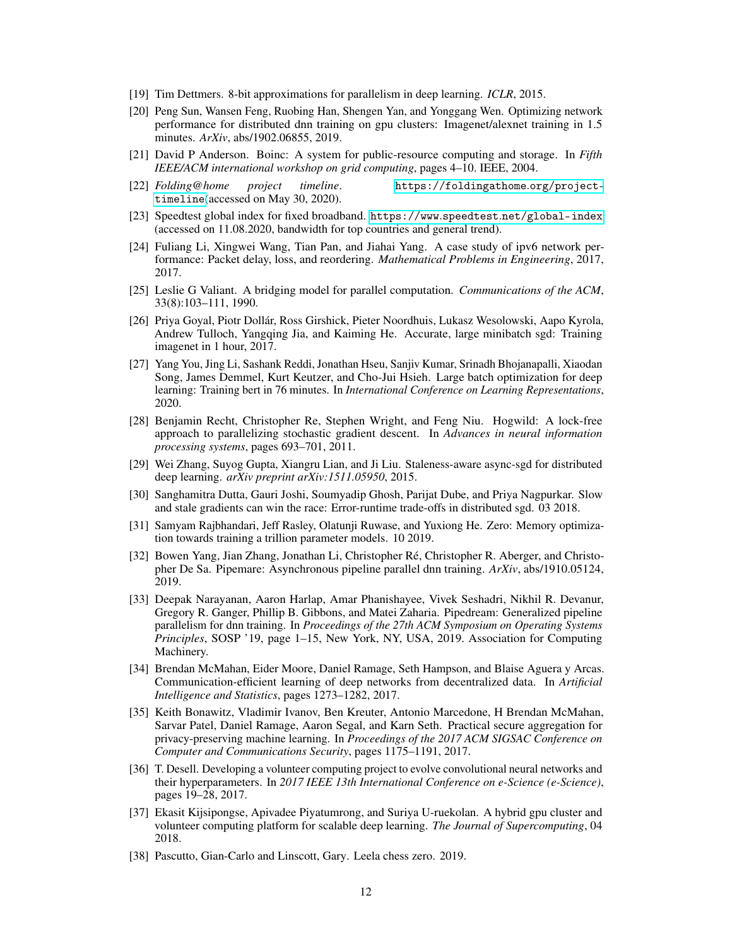- <span id="page-11-0"></span>[19] Tim Dettmers. 8-bit approximations for parallelism in deep learning. *ICLR*, 2015.
- <span id="page-11-1"></span>[20] Peng Sun, Wansen Feng, Ruobing Han, Shengen Yan, and Yonggang Wen. Optimizing network performance for distributed dnn training on gpu clusters: Imagenet/alexnet training in 1.5 minutes. *ArXiv*, abs/1902.06855, 2019.
- <span id="page-11-2"></span>[21] David P Anderson. Boinc: A system for public-resource computing and storage. In *Fifth IEEE/ACM international workshop on grid computing*, pages 4–10. IEEE, 2004.
- <span id="page-11-3"></span>[22] *Folding@home project timeline*. [https://foldingathome](https://foldingathome.org/project-timeline).org/project[timeline](https://foldingathome.org/project-timeline)(accessed on May 30, 2020).
- <span id="page-11-14"></span>[23] Speedtest global index for fixed broadband. https://www.speedtest.[net/global-index](https://www.speedtest.net/global-index) (accessed on 11.08.2020, bandwidth for top countries and general trend).
- <span id="page-11-15"></span>[24] Fuliang Li, Xingwei Wang, Tian Pan, and Jiahai Yang. A case study of ipv6 network performance: Packet delay, loss, and reordering. *Mathematical Problems in Engineering*, 2017, 2017.
- <span id="page-11-4"></span>[25] Leslie G Valiant. A bridging model for parallel computation. *Communications of the ACM*, 33(8):103–111, 1990.
- <span id="page-11-5"></span>[26] Priya Goyal, Piotr Dollár, Ross Girshick, Pieter Noordhuis, Lukasz Wesolowski, Aapo Kyrola, Andrew Tulloch, Yangqing Jia, and Kaiming He. Accurate, large minibatch sgd: Training imagenet in 1 hour, 2017.
- <span id="page-11-6"></span>[27] Yang You, Jing Li, Sashank Reddi, Jonathan Hseu, Sanjiv Kumar, Srinadh Bhojanapalli, Xiaodan Song, James Demmel, Kurt Keutzer, and Cho-Jui Hsieh. Large batch optimization for deep learning: Training bert in 76 minutes. In *International Conference on Learning Representations*, 2020.
- <span id="page-11-7"></span>[28] Benjamin Recht, Christopher Re, Stephen Wright, and Feng Niu. Hogwild: A lock-free approach to parallelizing stochastic gradient descent. In *Advances in neural information processing systems*, pages 693–701, 2011.
- <span id="page-11-8"></span>[29] Wei Zhang, Suyog Gupta, Xiangru Lian, and Ji Liu. Staleness-aware async-sgd for distributed deep learning. *arXiv preprint arXiv:1511.05950*, 2015.
- <span id="page-11-9"></span>[30] Sanghamitra Dutta, Gauri Joshi, Soumyadip Ghosh, Parijat Dube, and Priya Nagpurkar. Slow and stale gradients can win the race: Error-runtime trade-offs in distributed sgd. 03 2018.
- <span id="page-11-10"></span>[31] Samyam Rajbhandari, Jeff Rasley, Olatunji Ruwase, and Yuxiong He. Zero: Memory optimization towards training a trillion parameter models. 10 2019.
- <span id="page-11-11"></span>[32] Bowen Yang, Jian Zhang, Jonathan Li, Christopher Ré, Christopher R. Aberger, and Christopher De Sa. Pipemare: Asynchronous pipeline parallel dnn training. *ArXiv*, abs/1910.05124, 2019.
- <span id="page-11-12"></span>[33] Deepak Narayanan, Aaron Harlap, Amar Phanishayee, Vivek Seshadri, Nikhil R. Devanur, Gregory R. Ganger, Phillip B. Gibbons, and Matei Zaharia. Pipedream: Generalized pipeline parallelism for dnn training. In *Proceedings of the 27th ACM Symposium on Operating Systems Principles*, SOSP '19, page 1–15, New York, NY, USA, 2019. Association for Computing Machinery.
- <span id="page-11-13"></span>[34] Brendan McMahan, Eider Moore, Daniel Ramage, Seth Hampson, and Blaise Aguera y Arcas. Communication-efficient learning of deep networks from decentralized data. In *Artificial Intelligence and Statistics*, pages 1273–1282, 2017.
- <span id="page-11-16"></span>[35] Keith Bonawitz, Vladimir Ivanov, Ben Kreuter, Antonio Marcedone, H Brendan McMahan, Sarvar Patel, Daniel Ramage, Aaron Segal, and Karn Seth. Practical secure aggregation for privacy-preserving machine learning. In *Proceedings of the 2017 ACM SIGSAC Conference on Computer and Communications Security*, pages 1175–1191, 2017.
- <span id="page-11-17"></span>[36] T. Desell. Developing a volunteer computing project to evolve convolutional neural networks and their hyperparameters. In *2017 IEEE 13th International Conference on e-Science (e-Science)*, pages 19–28, 2017.
- <span id="page-11-18"></span>[37] Ekasit Kijsipongse, Apivadee Piyatumrong, and Suriya U-ruekolan. A hybrid gpu cluster and volunteer computing platform for scalable deep learning. *The Journal of Supercomputing*, 04 2018.
- <span id="page-11-19"></span>[38] Pascutto, Gian-Carlo and Linscott, Gary. Leela chess zero. 2019.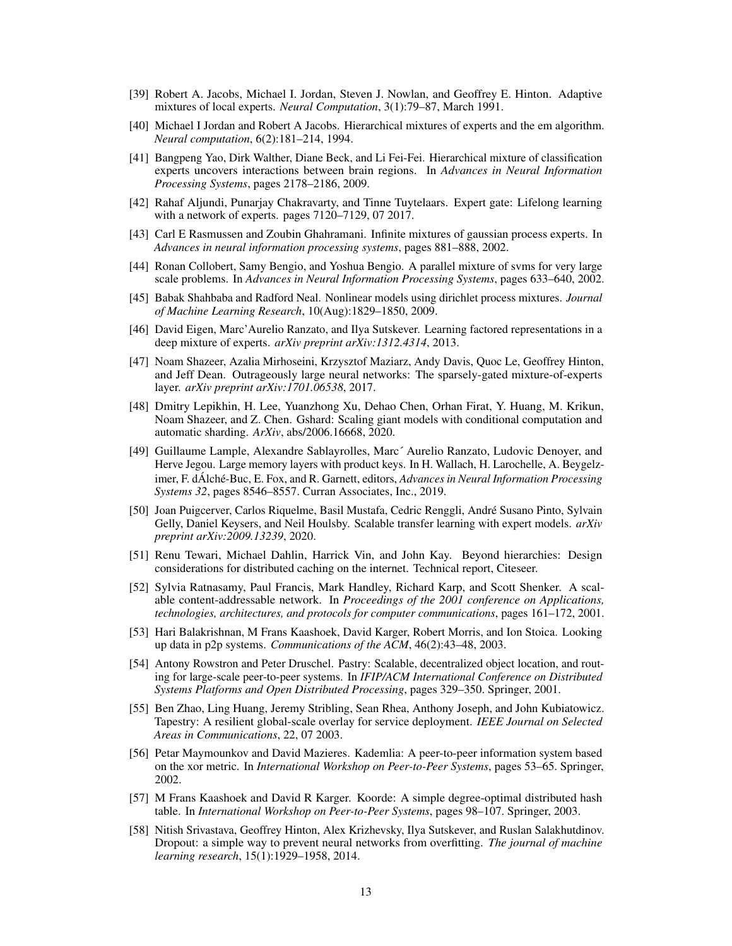- <span id="page-12-0"></span>[39] Robert A. Jacobs, Michael I. Jordan, Steven J. Nowlan, and Geoffrey E. Hinton. Adaptive mixtures of local experts. *Neural Computation*, 3(1):79–87, March 1991.
- <span id="page-12-1"></span>[40] Michael I Jordan and Robert A Jacobs. Hierarchical mixtures of experts and the em algorithm. *Neural computation*, 6(2):181–214, 1994.
- <span id="page-12-2"></span>[41] Bangpeng Yao, Dirk Walther, Diane Beck, and Li Fei-Fei. Hierarchical mixture of classification experts uncovers interactions between brain regions. In *Advances in Neural Information Processing Systems*, pages 2178–2186, 2009.
- <span id="page-12-3"></span>[42] Rahaf Aljundi, Punarjay Chakravarty, and Tinne Tuytelaars. Expert gate: Lifelong learning with a network of experts. pages 7120–7129, 07 2017.
- <span id="page-12-4"></span>[43] Carl E Rasmussen and Zoubin Ghahramani. Infinite mixtures of gaussian process experts. In *Advances in neural information processing systems*, pages 881–888, 2002.
- <span id="page-12-5"></span>[44] Ronan Collobert, Samy Bengio, and Yoshua Bengio. A parallel mixture of svms for very large scale problems. In *Advances in Neural Information Processing Systems*, pages 633–640, 2002.
- <span id="page-12-6"></span>[45] Babak Shahbaba and Radford Neal. Nonlinear models using dirichlet process mixtures. *Journal of Machine Learning Research*, 10(Aug):1829–1850, 2009.
- <span id="page-12-7"></span>[46] David Eigen, Marc'Aurelio Ranzato, and Ilya Sutskever. Learning factored representations in a deep mixture of experts. *arXiv preprint arXiv:1312.4314*, 2013.
- <span id="page-12-8"></span>[47] Noam Shazeer, Azalia Mirhoseini, Krzysztof Maziarz, Andy Davis, Quoc Le, Geoffrey Hinton, and Jeff Dean. Outrageously large neural networks: The sparsely-gated mixture-of-experts layer. *arXiv preprint arXiv:1701.06538*, 2017.
- <span id="page-12-9"></span>[48] Dmitry Lepikhin, H. Lee, Yuanzhong Xu, Dehao Chen, Orhan Firat, Y. Huang, M. Krikun, Noam Shazeer, and Z. Chen. Gshard: Scaling giant models with conditional computation and automatic sharding. *ArXiv*, abs/2006.16668, 2020.
- <span id="page-12-10"></span>[49] Guillaume Lample, Alexandre Sablayrolles, Marc´ Aurelio Ranzato, Ludovic Denoyer, and Herve Jegou. Large memory layers with product keys. In H. Wallach, H. Larochelle, A. Beygelzimer, F. dÁlché-Buc, E. Fox, and R. Garnett, editors, *Advances in Neural Information Processing Systems 32*, pages 8546–8557. Curran Associates, Inc., 2019.
- [50] Joan Puigcerver, Carlos Riquelme, Basil Mustafa, Cedric Renggli, André Susano Pinto, Sylvain Gelly, Daniel Keysers, and Neil Houlsby. Scalable transfer learning with expert models. *arXiv preprint arXiv:2009.13239*, 2020.
- <span id="page-12-11"></span>[51] Renu Tewari, Michael Dahlin, Harrick Vin, and John Kay. Beyond hierarchies: Design considerations for distributed caching on the internet. Technical report, Citeseer.
- <span id="page-12-12"></span>[52] Sylvia Ratnasamy, Paul Francis, Mark Handley, Richard Karp, and Scott Shenker. A scalable content-addressable network. In *Proceedings of the 2001 conference on Applications, technologies, architectures, and protocols for computer communications*, pages 161–172, 2001.
- <span id="page-12-13"></span>[53] Hari Balakrishnan, M Frans Kaashoek, David Karger, Robert Morris, and Ion Stoica. Looking up data in p2p systems. *Communications of the ACM*, 46(2):43–48, 2003.
- <span id="page-12-14"></span>[54] Antony Rowstron and Peter Druschel. Pastry: Scalable, decentralized object location, and routing for large-scale peer-to-peer systems. In *IFIP/ACM International Conference on Distributed Systems Platforms and Open Distributed Processing*, pages 329–350. Springer, 2001.
- <span id="page-12-15"></span>[55] Ben Zhao, Ling Huang, Jeremy Stribling, Sean Rhea, Anthony Joseph, and John Kubiatowicz. Tapestry: A resilient global-scale overlay for service deployment. *IEEE Journal on Selected Areas in Communications*, 22, 07 2003.
- <span id="page-12-16"></span>[56] Petar Maymounkov and David Mazieres. Kademlia: A peer-to-peer information system based on the xor metric. In *International Workshop on Peer-to-Peer Systems*, pages 53–65. Springer, 2002.
- <span id="page-12-17"></span>[57] M Frans Kaashoek and David R Karger. Koorde: A simple degree-optimal distributed hash table. In *International Workshop on Peer-to-Peer Systems*, pages 98–107. Springer, 2003.
- <span id="page-12-18"></span>[58] Nitish Srivastava, Geoffrey Hinton, Alex Krizhevsky, Ilya Sutskever, and Ruslan Salakhutdinov. Dropout: a simple way to prevent neural networks from overfitting. *The journal of machine learning research*, 15(1):1929–1958, 2014.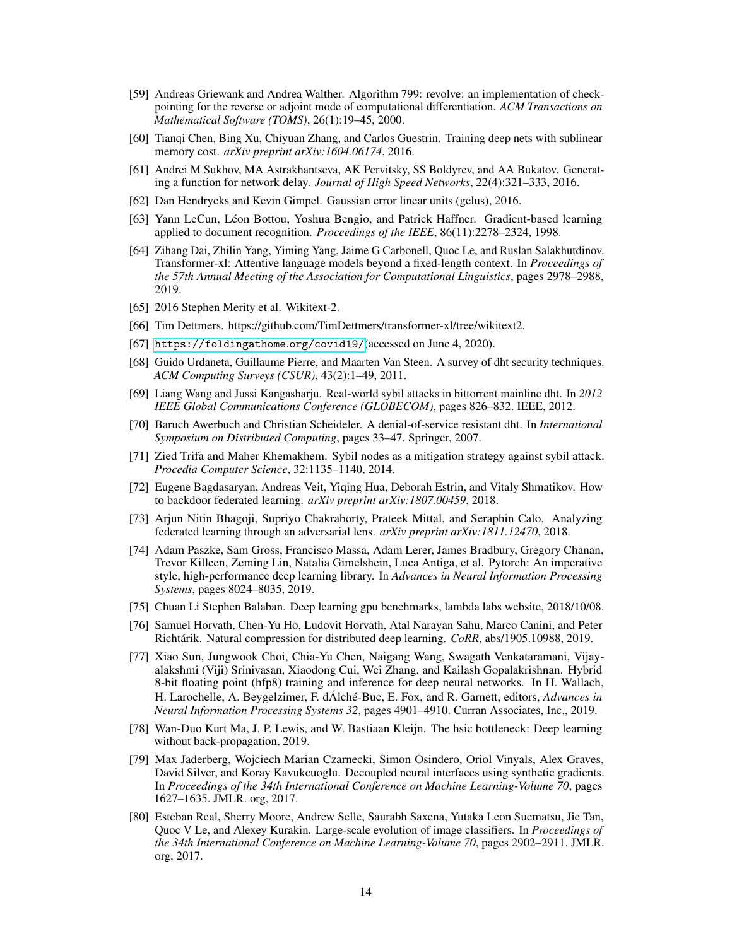- <span id="page-13-0"></span>[59] Andreas Griewank and Andrea Walther. Algorithm 799: revolve: an implementation of checkpointing for the reverse or adjoint mode of computational differentiation. *ACM Transactions on Mathematical Software (TOMS)*, 26(1):19–45, 2000.
- <span id="page-13-1"></span>[60] Tianqi Chen, Bing Xu, Chiyuan Zhang, and Carlos Guestrin. Training deep nets with sublinear memory cost. *arXiv preprint arXiv:1604.06174*, 2016.
- <span id="page-13-2"></span>[61] Andrei M Sukhov, MA Astrakhantseva, AK Pervitsky, SS Boldyrev, and AA Bukatov. Generating a function for network delay. *Journal of High Speed Networks*, 22(4):321–333, 2016.
- <span id="page-13-3"></span>[62] Dan Hendrycks and Kevin Gimpel. Gaussian error linear units (gelus), 2016.
- <span id="page-13-4"></span>[63] Yann LeCun, Léon Bottou, Yoshua Bengio, and Patrick Haffner. Gradient-based learning applied to document recognition. *Proceedings of the IEEE*, 86(11):2278–2324, 1998.
- <span id="page-13-5"></span>[64] Zihang Dai, Zhilin Yang, Yiming Yang, Jaime G Carbonell, Quoc Le, and Ruslan Salakhutdinov. Transformer-xl: Attentive language models beyond a fixed-length context. In *Proceedings of the 57th Annual Meeting of the Association for Computational Linguistics*, pages 2978–2988, 2019.
- <span id="page-13-6"></span>[65] 2016 Stephen Merity et al. Wikitext-2.
- <span id="page-13-7"></span>[66] Tim Dettmers. https://github.com/TimDettmers/transformer-xl/tree/wikitext2.
- <span id="page-13-8"></span>[67] [https://foldingathome](https://foldingathome.org/covid19/).org/covid19/(accessed on June 4, 2020).
- <span id="page-13-9"></span>[68] Guido Urdaneta, Guillaume Pierre, and Maarten Van Steen. A survey of dht security techniques. *ACM Computing Surveys (CSUR)*, 43(2):1–49, 2011.
- <span id="page-13-10"></span>[69] Liang Wang and Jussi Kangasharju. Real-world sybil attacks in bittorrent mainline dht. In *2012 IEEE Global Communications Conference (GLOBECOM)*, pages 826–832. IEEE, 2012.
- <span id="page-13-11"></span>[70] Baruch Awerbuch and Christian Scheideler. A denial-of-service resistant dht. In *International Symposium on Distributed Computing*, pages 33–47. Springer, 2007.
- <span id="page-13-12"></span>[71] Zied Trifa and Maher Khemakhem. Sybil nodes as a mitigation strategy against sybil attack. *Procedia Computer Science*, 32:1135–1140, 2014.
- <span id="page-13-13"></span>[72] Eugene Bagdasaryan, Andreas Veit, Yiqing Hua, Deborah Estrin, and Vitaly Shmatikov. How to backdoor federated learning. *arXiv preprint arXiv:1807.00459*, 2018.
- <span id="page-13-14"></span>[73] Arjun Nitin Bhagoji, Supriyo Chakraborty, Prateek Mittal, and Seraphin Calo. Analyzing federated learning through an adversarial lens. *arXiv preprint arXiv:1811.12470*, 2018.
- [74] Adam Paszke, Sam Gross, Francisco Massa, Adam Lerer, James Bradbury, Gregory Chanan, Trevor Killeen, Zeming Lin, Natalia Gimelshein, Luca Antiga, et al. Pytorch: An imperative style, high-performance deep learning library. In *Advances in Neural Information Processing Systems*, pages 8024–8035, 2019.
- <span id="page-13-15"></span>[75] Chuan Li Stephen Balaban. Deep learning gpu benchmarks, lambda labs website, 2018/10/08.
- <span id="page-13-16"></span>[76] Samuel Horvath, Chen-Yu Ho, Ludovit Horvath, Atal Narayan Sahu, Marco Canini, and Peter Richtárik. Natural compression for distributed deep learning. *CoRR*, abs/1905.10988, 2019.
- <span id="page-13-17"></span>[77] Xiao Sun, Jungwook Choi, Chia-Yu Chen, Naigang Wang, Swagath Venkataramani, Vijayalakshmi (Viji) Srinivasan, Xiaodong Cui, Wei Zhang, and Kailash Gopalakrishnan. Hybrid 8-bit floating point (hfp8) training and inference for deep neural networks. In H. Wallach, H. Larochelle, A. Beygelzimer, F. dÁlché-Buc, E. Fox, and R. Garnett, editors, *Advances in Neural Information Processing Systems 32*, pages 4901–4910. Curran Associates, Inc., 2019.
- <span id="page-13-18"></span>[78] Wan-Duo Kurt Ma, J. P. Lewis, and W. Bastiaan Kleijn. The hsic bottleneck: Deep learning without back-propagation, 2019.
- <span id="page-13-19"></span>[79] Max Jaderberg, Wojciech Marian Czarnecki, Simon Osindero, Oriol Vinyals, Alex Graves, David Silver, and Koray Kavukcuoglu. Decoupled neural interfaces using synthetic gradients. In *Proceedings of the 34th International Conference on Machine Learning-Volume 70*, pages 1627–1635. JMLR. org, 2017.
- <span id="page-13-20"></span>[80] Esteban Real, Sherry Moore, Andrew Selle, Saurabh Saxena, Yutaka Leon Suematsu, Jie Tan, Quoc V Le, and Alexey Kurakin. Large-scale evolution of image classifiers. In *Proceedings of the 34th International Conference on Machine Learning-Volume 70*, pages 2902–2911. JMLR. org, 2017.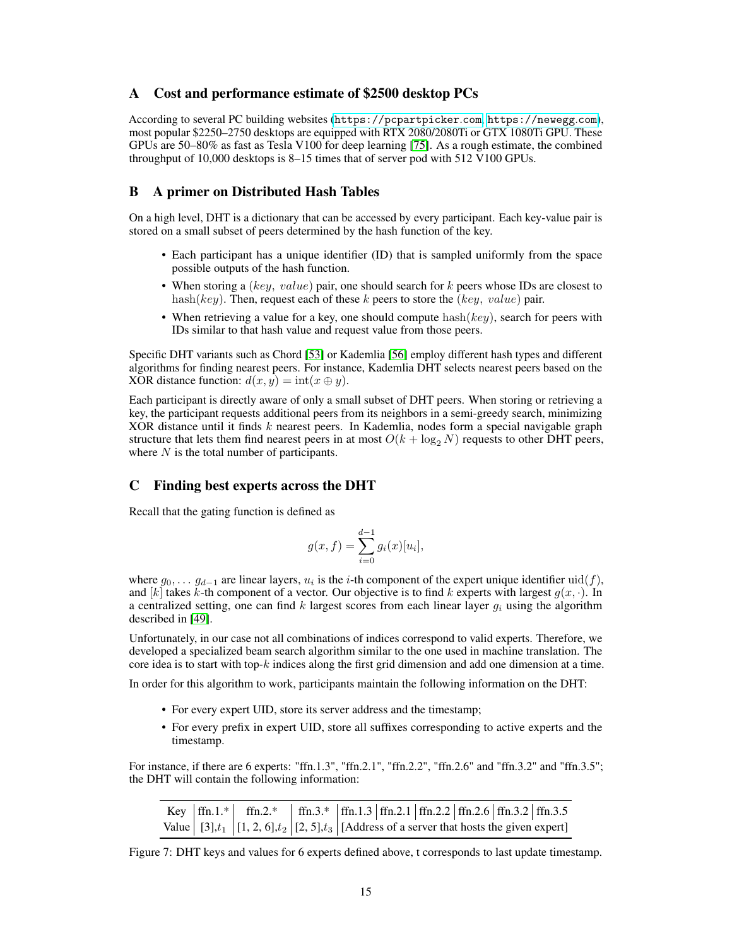## A Cost and performance estimate of \$2500 desktop PCs

According to several PC building websites ([https://pcpartpicker](https://pcpartpicker.com).com, [https://newegg](https://newegg.com).com), most popular \$2250–2750 desktops are equipped with RTX 2080/2080Ti or GTX 1080Ti GPU. These GPUs are 50–80% as fast as Tesla V100 for deep learning [\[75\]](#page-13-15). As a rough estimate, the combined throughput of 10,000 desktops is 8–15 times that of server pod with 512 V100 GPUs.

## B A primer on Distributed Hash Tables

On a high level, DHT is a dictionary that can be accessed by every participant. Each key-value pair is stored on a small subset of peers determined by the hash function of the key.

- Each participant has a unique identifier (ID) that is sampled uniformly from the space possible outputs of the hash function.
- When storing a (key, value) pair, one should search for k peers whose IDs are closest to hash(key). Then, request each of these k peers to store the (key, value) pair.
- When retrieving a value for a key, one should compute hash( $key$ ), search for peers with IDs similar to that hash value and request value from those peers.

Specific DHT variants such as Chord [\[53\]](#page-12-13) or Kademlia [\[56\]](#page-12-16) employ different hash types and different algorithms for finding nearest peers. For instance, Kademlia DHT selects nearest peers based on the XOR distance function:  $d(x, y) = \text{int}(x \oplus y)$ .

Each participant is directly aware of only a small subset of DHT peers. When storing or retrieving a key, the participant requests additional peers from its neighbors in a semi-greedy search, minimizing XOR distance until it finds k nearest peers. In Kademlia, nodes form a special navigable graph structure that lets them find nearest peers in at most  $O(k + \log_2 N)$  requests to other DHT peers, where  $N$  is the total number of participants.

## C Finding best experts across the DHT

Recall that the gating function is defined as

$$
g(x, f) = \sum_{i=0}^{d-1} g_i(x)[u_i],
$$

where  $g_0, \ldots, g_{d-1}$  are linear layers,  $u_i$  is the i-th component of the expert unique identifier  $\text{uid}(f)$ , and [k] takes k-th component of a vector. Our objective is to find k experts with largest  $q(x, \cdot)$ . In a centralized setting, one can find k largest scores from each linear layer  $q_i$  using the algorithm described in [\[49\]](#page-12-10).

Unfortunately, in our case not all combinations of indices correspond to valid experts. Therefore, we developed a specialized beam search algorithm similar to the one used in machine translation. The core idea is to start with top- $k$  indices along the first grid dimension and add one dimension at a time.

In order for this algorithm to work, participants maintain the following information on the DHT:

- For every expert UID, store its server address and the timestamp;
- For every prefix in expert UID, store all suffixes corresponding to active experts and the timestamp.

For instance, if there are 6 experts: "ffn.1.3", "ffn.2.1", "ffn.2.2", "ffn.2.6" and "ffn.3.2" and "ffn.3.5"; the DHT will contain the following information:

|  | Key  ffn.1.*   ffn.2.*   ffn.3.*  ffn.1.3   ffn.2.1   ffn.2.2   ffn.2.6   ffn.3.2   ffn.3.5                                 |  |  |  |  |
|--|-----------------------------------------------------------------------------------------------------------------------------|--|--|--|--|
|  | Value $\left  [3], t_1 \right  [1, 2, 6], t_2 \left  [2, 5], t_3 \right $ [Address of a server that hosts the given expert] |  |  |  |  |

Figure 7: DHT keys and values for 6 experts defined above, t corresponds to last update timestamp.